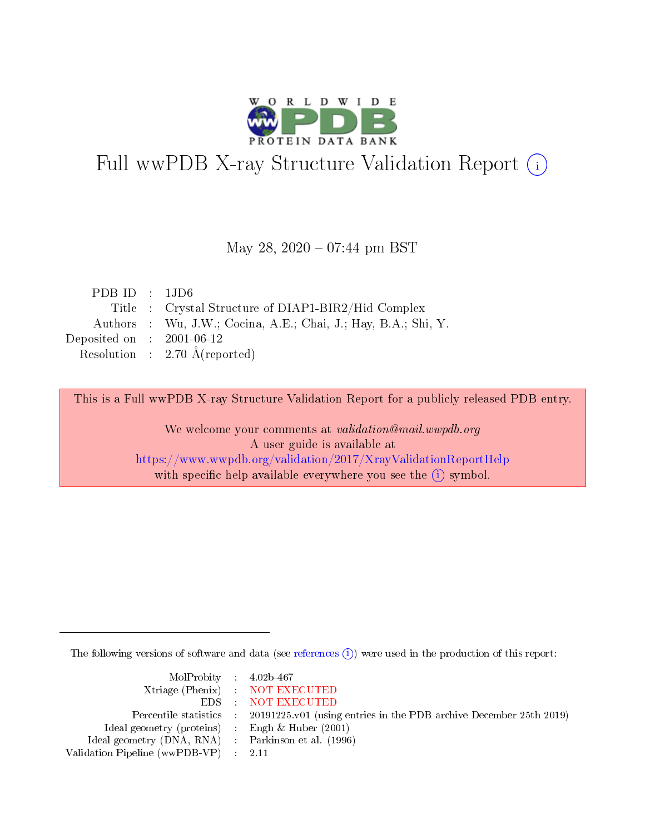

# Full wwPDB X-ray Structure Validation Report (i)

### May 28,  $2020 - 07:44$  pm BST

| PDBID : 1JD6                |                                                                |
|-----------------------------|----------------------------------------------------------------|
|                             | Title : Crystal Structure of DIAP1-BIR2/Hid Complex            |
|                             | Authors : Wu, J.W.; Cocina, A.E.; Chai, J.; Hay, B.A.; Shi, Y. |
| Deposited on : $2001-06-12$ |                                                                |
|                             | Resolution : $2.70 \text{ Å}$ (reported)                       |

This is a Full wwPDB X-ray Structure Validation Report for a publicly released PDB entry.

We welcome your comments at validation@mail.wwpdb.org A user guide is available at <https://www.wwpdb.org/validation/2017/XrayValidationReportHelp> with specific help available everywhere you see the  $(i)$  symbol.

The following versions of software and data (see [references](https://www.wwpdb.org/validation/2017/XrayValidationReportHelp#references)  $\overline{(1)}$ ) were used in the production of this report:

| $MolProbability$ 4.02b-467                          |                                                                    |
|-----------------------------------------------------|--------------------------------------------------------------------|
|                                                     | Xtriage (Phenix) NOT EXECUTED                                      |
|                                                     | EDS : NOT EXECUTED                                                 |
| Percentile statistics :                             | 20191225.v01 (using entries in the PDB archive December 25th 2019) |
| Ideal geometry (proteins) :                         | Engh $\&$ Huber (2001)                                             |
| Ideal geometry (DNA, RNA) : Parkinson et al. (1996) |                                                                    |
| Validation Pipeline (wwPDB-VP) : 2.11               |                                                                    |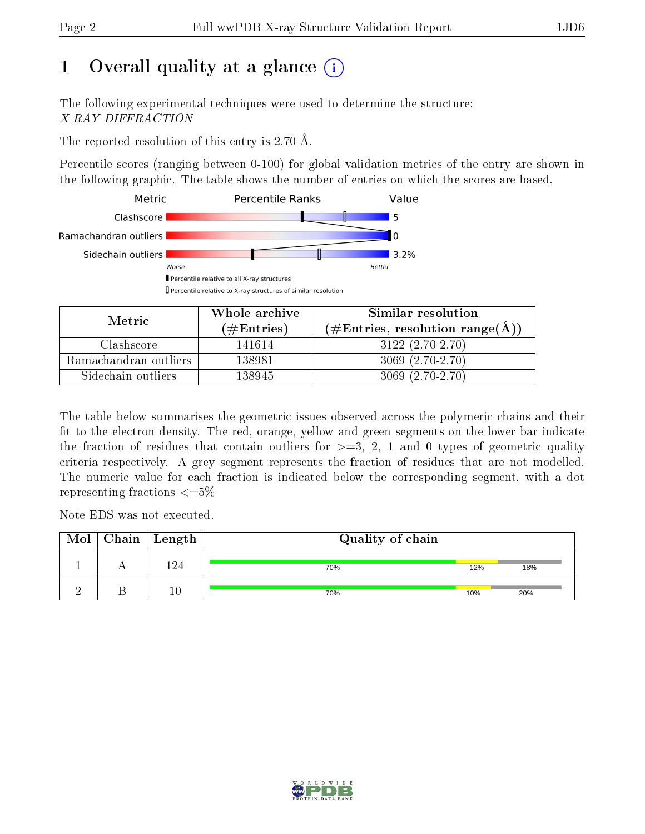# 1 [O](https://www.wwpdb.org/validation/2017/XrayValidationReportHelp#overall_quality)verall quality at a glance  $(i)$

The following experimental techniques were used to determine the structure: X-RAY DIFFRACTION

The reported resolution of this entry is 2.70 Å.

Percentile scores (ranging between 0-100) for global validation metrics of the entry are shown in the following graphic. The table shows the number of entries on which the scores are based.



| Metric                | Whole archive       | Similar resolution                                       |  |  |
|-----------------------|---------------------|----------------------------------------------------------|--|--|
|                       | (# $\rm{Entries}$ ) | $(\#\text{Entries}, \text{resolution range}(\text{\AA})$ |  |  |
| Clashscore            | 141614              | $3122(2.70-2.70)$                                        |  |  |
| Ramachandran outliers | 138981              | $3069(2.70-2.70)$                                        |  |  |
| Sidechain outliers    | 138945              | $3069(2.70-2.70)$                                        |  |  |

The table below summarises the geometric issues observed across the polymeric chains and their fit to the electron density. The red, orange, yellow and green segments on the lower bar indicate the fraction of residues that contain outliers for  $\geq=3$ , 2, 1 and 0 types of geometric quality criteria respectively. A grey segment represents the fraction of residues that are not modelled. The numeric value for each fraction is indicated below the corresponding segment, with a dot representing fractions  $\leq=5\%$ 

Note EDS was not executed.

| Mol | Chain | $\mid$ Length | Quality of chain |     |     |  |
|-----|-------|---------------|------------------|-----|-----|--|
|     |       | ി.            | 70%              | 12% | 18% |  |
|     |       | $\sqrt{ }$    | 70%              | 10% | 20% |  |

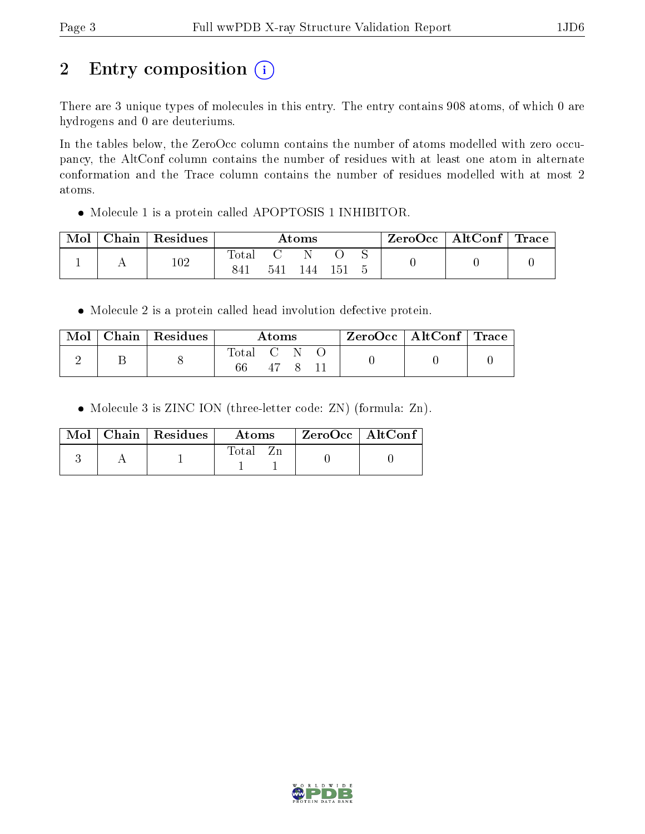# 2 Entry composition (i)

There are 3 unique types of molecules in this entry. The entry contains 908 atoms, of which 0 are hydrogens and 0 are deuteriums.

In the tables below, the ZeroOcc column contains the number of atoms modelled with zero occupancy, the AltConf column contains the number of residues with at least one atom in alternate conformation and the Trace column contains the number of residues modelled with at most 2 atoms.

Molecule 1 is a protein called APOPTOSIS 1 INHIBITOR.

| Mol | ${\rm Chain}$ | $\overline{ }$ Residues | $\rm{Atoms}$   |     |     |     | $\text{ZeroOcc} \mid \text{AltConf} \mid \text{Trace}$ |  |
|-----|---------------|-------------------------|----------------|-----|-----|-----|--------------------------------------------------------|--|
|     |               | $102\,$                 | $\text{Total}$ | 541 | 144 | 151 |                                                        |  |
|     |               |                         |                |     |     |     |                                                        |  |

Molecule 2 is a protein called head involution defective protein.

| Mol | Chain   Residues $\frac{1}{2}$ | Atoms   | $ZeroOcc \mid AltConf \mid Trace$ |  |
|-----|--------------------------------|---------|-----------------------------------|--|
|     |                                | lotal C |                                   |  |

• Molecule 3 is ZINC ION (three-letter code: ZN) (formula: Zn).

|  | Mol $\vert$ Chain $\vert$ Residues $\vert$ | Atoms | $\rm ZeroOcc$   Alt $\rm Conf$ |
|--|--------------------------------------------|-------|--------------------------------|
|  |                                            | Fotal |                                |

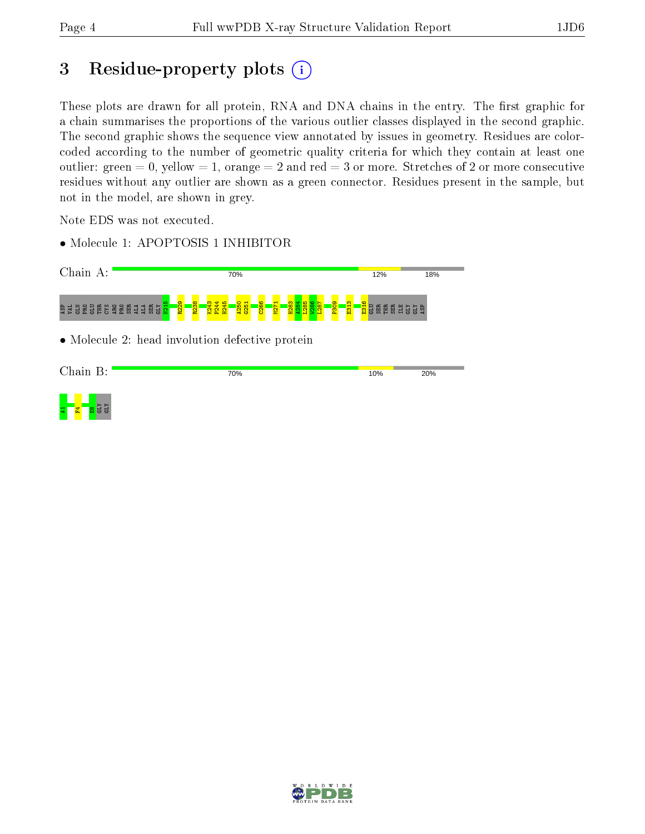# 3 Residue-property plots  $(i)$

These plots are drawn for all protein, RNA and DNA chains in the entry. The first graphic for a chain summarises the proportions of the various outlier classes displayed in the second graphic. The second graphic shows the sequence view annotated by issues in geometry. Residues are colorcoded according to the number of geometric quality criteria for which they contain at least one outlier: green  $= 0$ , yellow  $= 1$ , orange  $= 2$  and red  $= 3$  or more. Stretches of 2 or more consecutive residues without any outlier are shown as a green connector. Residues present in the sample, but not in the model, are shown in grey.

Note EDS was not executed.

• Molecule 1: APOPTOSIS 1 INHIBITOR





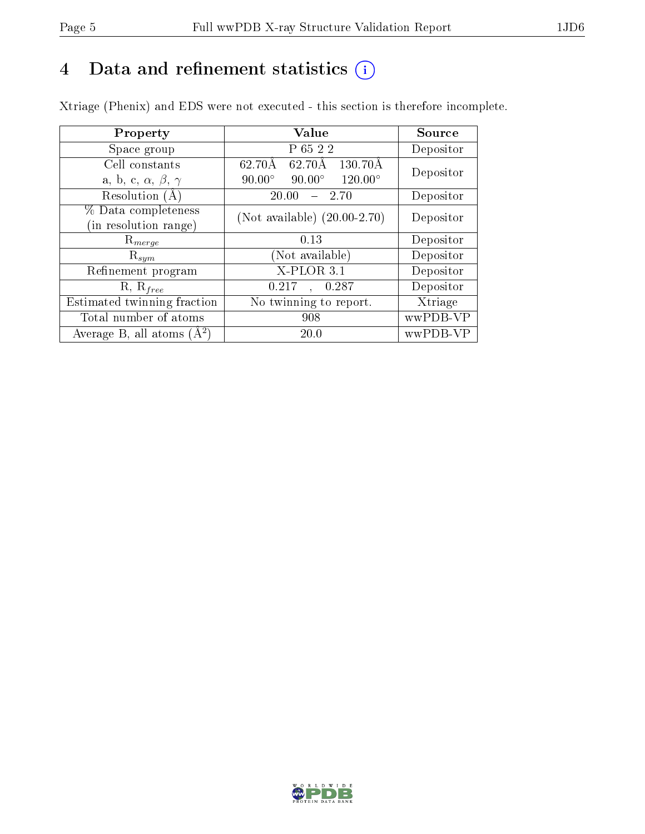# 4 Data and refinement statistics  $(i)$

Xtriage (Phenix) and EDS were not executed - this section is therefore incomplete.

| Property                               | Value                                            | Source    |  |
|----------------------------------------|--------------------------------------------------|-----------|--|
| Space group                            | P 65 2 2                                         | Depositor |  |
| Cell constants                         | 62.70Å<br>62.70Å<br>130.70Å                      | Depositor |  |
| a, b, c, $\alpha$ , $\beta$ , $\gamma$ | $90.00^\circ$<br>$120.00^\circ$<br>$90.00^\circ$ |           |  |
| Resolution (A)                         | 20.00<br>-2.70                                   | Depositor |  |
| % Data completeness                    | (Not available) $(20.00-2.70)$                   | Depositor |  |
| in resolution range)                   |                                                  |           |  |
| $\mathrm{R}_{merge}$                   | 0.13                                             | Depositor |  |
| $\mathrm{R}_{sym}$                     | (Not available)                                  | Depositor |  |
| Refinement program                     | X-PLOR 3.1                                       | Depositor |  |
| $R, R_{free}$                          | 0.287<br>0.217<br>$\mathbf{A}$                   | Depositor |  |
| Estimated twinning fraction            | No twinning to report.                           | Xtriage   |  |
| Total number of atoms                  | 908                                              | wwPDB-VP  |  |
| Average B, all atoms $(A^2)$           | 20.0                                             | wwPDB-VP  |  |

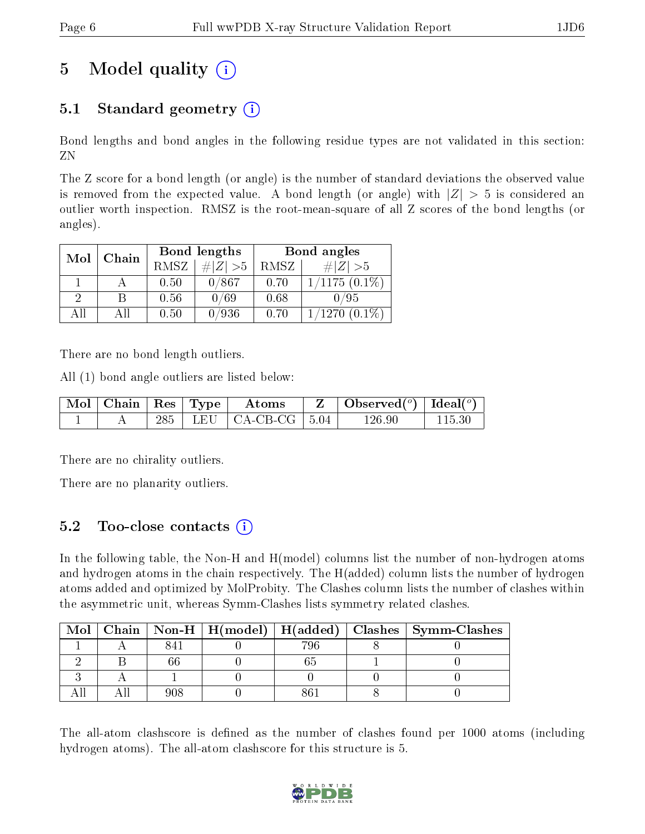# 5 Model quality  $(i)$

# 5.1 Standard geometry  $(i)$

Bond lengths and bond angles in the following residue types are not validated in this section: ZN

The Z score for a bond length (or angle) is the number of standard deviations the observed value is removed from the expected value. A bond length (or angle) with  $|Z| > 5$  is considered an outlier worth inspection. RMSZ is the root-mean-square of all Z scores of the bond lengths (or angles).

| Chain<br>Mol |     |      | Bond lengths | Bond angles |                 |  |
|--------------|-----|------|--------------|-------------|-----------------|--|
|              |     | RMSZ | $\ Z\  > 5$  | RMSZ        | $\# Z  > 5$     |  |
|              |     | 0.50 | 0/867        | 0.70        | $1/1175(0.1\%)$ |  |
| 9            | В   | 0.56 | 0/69         | 0.68        | 0/95            |  |
| AĦ           | All | 0.50 | 0/936        | 0.70        | $1/1270(0.1\%)$ |  |

There are no bond length outliers.

All (1) bond angle outliers are listed below:

|  |  | $\lceil \overline{\text{Mol}} \rceil$ Chain $\lceil \text{Res} \rceil$ Type $\lceil \text{~Atoms} \rceil$ | $\vert$ Observed $(^\circ)$ $\vert$ Ideal $(^\circ)$ |        |
|--|--|-----------------------------------------------------------------------------------------------------------|------------------------------------------------------|--------|
|  |  | 285   LEU   CA-CB-CG   $5.04$                                                                             | ' 26.96                                              | 115.30 |

There are no chirality outliers.

There are no planarity outliers.

## 5.2 Too-close contacts (i)

In the following table, the Non-H and H(model) columns list the number of non-hydrogen atoms and hydrogen atoms in the chain respectively. The H(added) column lists the number of hydrogen atoms added and optimized by MolProbity. The Clashes column lists the number of clashes within the asymmetric unit, whereas Symm-Clashes lists symmetry related clashes.

| Mol |  |     | Chain   Non-H   H(model)   H(added)   Clashes   Symm-Clashes |
|-----|--|-----|--------------------------------------------------------------|
|     |  | 796 |                                                              |
|     |  |     |                                                              |
|     |  |     |                                                              |
|     |  |     |                                                              |

The all-atom clashscore is defined as the number of clashes found per 1000 atoms (including hydrogen atoms). The all-atom clashscore for this structure is 5.

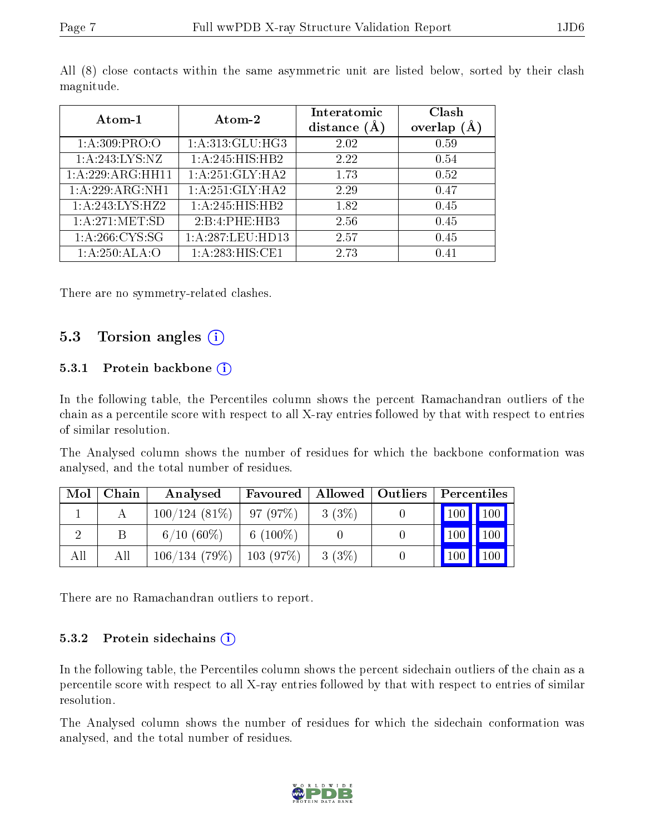| Atom-1           | Atom-2           | Interatomic<br>distance $(A)$ | Clash<br>overlap $(A)$ |
|------------------|------------------|-------------------------------|------------------------|
| 1: A:309: PRO:O  | 1:A:313:GLU:HG3  | 2.02                          | 0.59                   |
| 1:A:243:LYS:NZ   | 1:A:245:HIS:HB2  | 2.22                          | 0.54                   |
| 1:A:229:ARG:HH11 | 1:A:251:GLY:HA2  | 1.73                          | 0.52                   |
| 1:A:229:ARG:NH1  | 1:A:251:GLY:HA2  | 2.29                          | 0.47                   |
| 1:A:243:LYS:HZ2  | 1:A:245:HIS:HB2  | 1.82                          | 0.45                   |
| 1:A:271:MET:SD   | 2:B:4:PHE:HB3    | 2.56                          | 0.45                   |
| 1: A:266:CYS:SG  | 1:A:287:LEU:HD13 | 2.57                          | 0.45                   |
| 1:A:250:ALA:O    | 1:A:283:HIS:CE1  | 2.73                          | በ 41                   |

All (8) close contacts within the same asymmetric unit are listed below, sorted by their clash magnitude.

There are no symmetry-related clashes.

## 5.3 Torsion angles  $(i)$

#### 5.3.1 Protein backbone (i)

In the following table, the Percentiles column shows the percent Ramachandran outliers of the chain as a percentile score with respect to all X-ray entries followed by that with respect to entries of similar resolution.

The Analysed column shows the number of residues for which the backbone conformation was analysed, and the total number of residues.

| Mol | Chain | Analysed        | Favoured        | Allowed   Outliers | Percentiles         |
|-----|-------|-----------------|-----------------|--------------------|---------------------|
|     |       | $100/124(81\%)$ | 97(97%)         | $3(3\%)$           | 100 100             |
|     | В     | $6/10(60\%)$    | $6(100\%)$      |                    | 100<br>100          |
| All | All   | 106/134(79%)    | $\pm 103$ (97%) | $3(3\%)$           | 100<br>$\sqrt{100}$ |

There are no Ramachandran outliers to report.

#### $5.3.2$  Protein sidechains  $(i)$

In the following table, the Percentiles column shows the percent sidechain outliers of the chain as a percentile score with respect to all X-ray entries followed by that with respect to entries of similar resolution.

The Analysed column shows the number of residues for which the sidechain conformation was analysed, and the total number of residues.

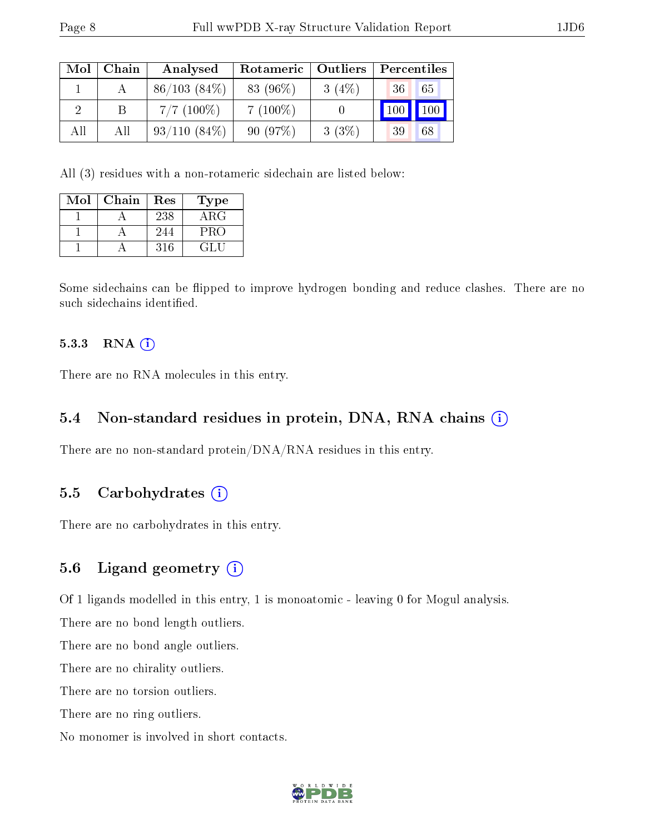| Mol | Chain | Analysed       | Rotameric   Outliers |       | Percentiles |    |
|-----|-------|----------------|----------------------|-------|-------------|----|
|     |       | 86/103(84%)    | 83 (96%)             | 3(4%) | 36          | 65 |
|     |       | $7/7$ (100\%)  | $7(100\%)$           |       | 100         |    |
| All | Аll   | $93/110(84\%)$ | 90(97%)              | 3(3%) | 39          | 68 |

All (3) residues with a non-rotameric sidechain are listed below:

| Mol | Chain | Res | Type |
|-----|-------|-----|------|
|     |       | 238 | ARG  |
|     |       | 244 | PRO  |
|     |       | 316 | EL.  |

Some sidechains can be flipped to improve hydrogen bonding and reduce clashes. There are no such sidechains identified.

#### 5.3.3 RNA (i)

There are no RNA molecules in this entry.

### 5.4 Non-standard residues in protein, DNA, RNA chains (i)

There are no non-standard protein/DNA/RNA residues in this entry.

#### 5.5 Carbohydrates  $(i)$

There are no carbohydrates in this entry.

#### 5.6 Ligand geometry  $(i)$

Of 1 ligands modelled in this entry, 1 is monoatomic - leaving 0 for Mogul analysis.

There are no bond length outliers.

There are no bond angle outliers.

There are no chirality outliers.

There are no torsion outliers.

There are no ring outliers.

No monomer is involved in short contacts.

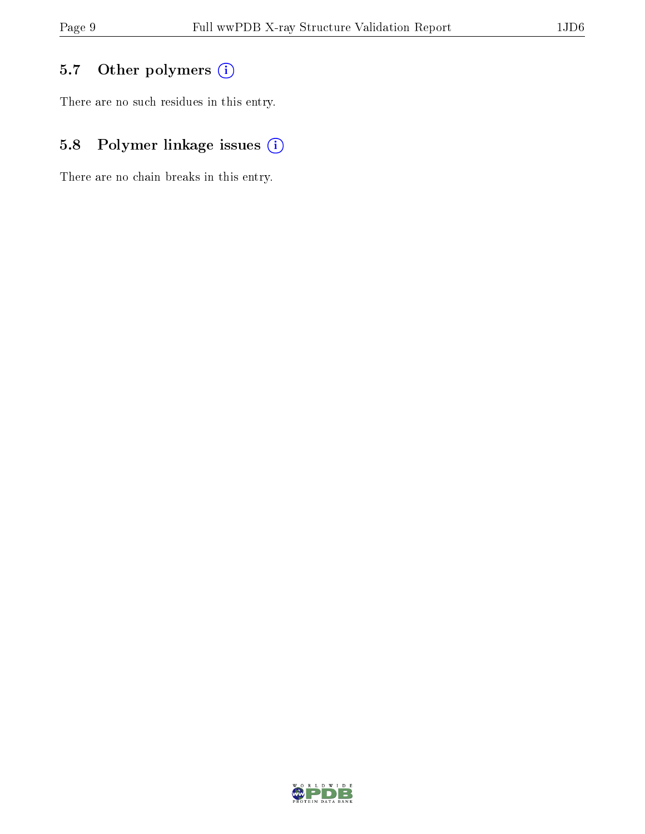# 5.7 [O](https://www.wwpdb.org/validation/2017/XrayValidationReportHelp#nonstandard_residues_and_ligands)ther polymers (i)

There are no such residues in this entry.

# 5.8 Polymer linkage issues (i)

There are no chain breaks in this entry.